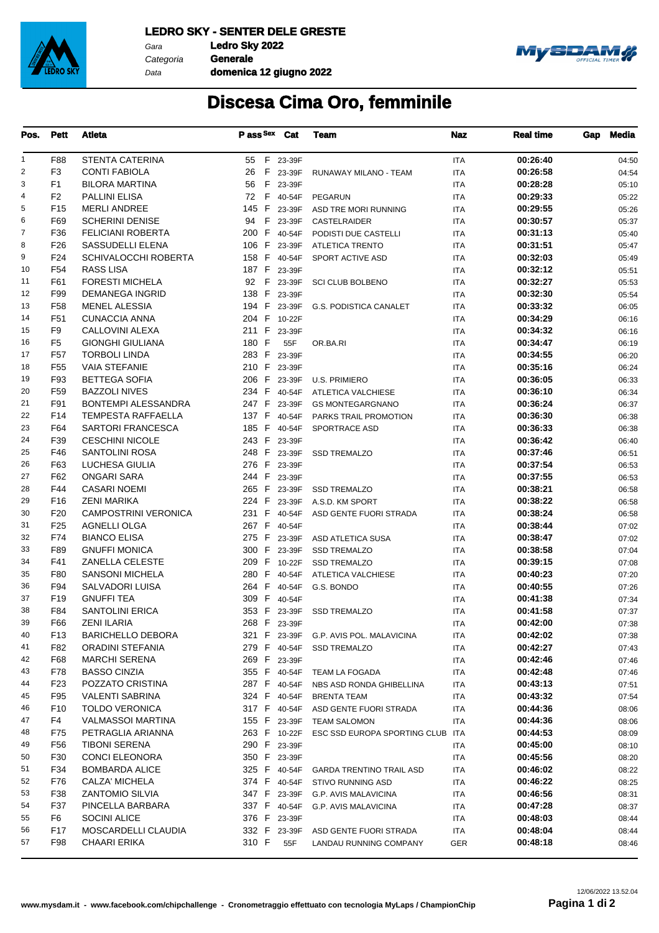

Gara **Ledro Sky 2022** Data Categoria **Generale**

**domenica 12 giugno 2022**



## **Discesa Cima Oro, femminile**

| Pos.           | <b>Pett</b>     | Atleta                      | Pass Sex Cat |          | <b>Team</b>                            | Naz        | <b>Real time</b> | Gap | Media |
|----------------|-----------------|-----------------------------|--------------|----------|----------------------------------------|------------|------------------|-----|-------|
| 1              | F88             | <b>STENTA CATERINA</b>      | 55 F 23-39F  |          |                                        | <b>ITA</b> | 00:26:40         |     | 04:50 |
| 2              | F <sub>3</sub>  | <b>CONTI FABIOLA</b>        | 26           | F 23-39F | RUNAWAY MILANO - TEAM                  | <b>ITA</b> | 00:26:58         |     | 04:54 |
| 3              | F <sub>1</sub>  | <b>BILORA MARTINA</b>       | F<br>56      | 23-39F   |                                        | ITA        | 00:28:28         |     | 05:10 |
| 4              | F <sub>2</sub>  | <b>PALLINI ELISA</b>        | 72 F 40-54F  |          | <b>PEGARUN</b>                         | ITA        | 00:29:33         |     | 05:22 |
| 5              | F <sub>15</sub> | <b>MERLI ANDREE</b>         | 145 F 23-39F |          | ASD TRE MORI RUNNING                   | ITA        | 00:29:55         |     | 05:26 |
| 6              | F69             | <b>SCHERINI DENISE</b>      | 94 F         | 23-39F   | CASTELRAIDER                           | ITA        | 00:30:57         |     | 05:37 |
| $\overline{7}$ | F36             | <b>FELICIANI ROBERTA</b>    | 200 F        | 40-54F   | PODISTI DUE CASTELLI                   | <b>ITA</b> | 00:31:13         |     | 05:40 |
| 8              | F26             | <b>SASSUDELLI ELENA</b>     | 106 F        | 23-39F   | <b>ATLETICA TRENTO</b>                 | ITA        | 00:31:51         |     | 05:47 |
| 9              | F24             | SCHIVALOCCHI ROBERTA        | 158 F 40-54F |          | SPORT ACTIVE ASD                       | ITA        | 00:32:03         |     | 05:49 |
| 10             | F <sub>54</sub> | RASS LISA                   | 187 F 23-39F |          |                                        | ITA        | 00:32:12         |     | 05:51 |
| 11             | F61             | <b>FORESTI MICHELA</b>      | 92 F         |          | 23-39F SCI CLUB BOLBENO                | ITA        | 00:32:27         |     | 05:53 |
| 12             | F99             | DEMANEGA INGRID             | 138 F        | 23-39F   |                                        | ITA        | 00:32:30         |     | 05:54 |
| 13             | F <sub>58</sub> | <b>MENEL ALESSIA</b>        |              |          | 194 F 23-39F G.S. PODISTICA CANALET    | <b>ITA</b> | 00:33:32         |     | 06:05 |
| 14             | F51             | <b>CUNACCIA ANNA</b>        | 204 F 10-22F |          |                                        | ITA        | 00:34:29         |     | 06:16 |
| 15             | F9              | CALLOVINI ALEXA             | 211 F        | 23-39F   |                                        | ITA        | 00:34:32         |     | 06:16 |
| 16             | F5              | <b>GIONGHI GIULIANA</b>     | 180 F        | 55F      | OR.BA.RI                               | ITA        | 00:34:47         |     | 06:19 |
| 17             | F <sub>57</sub> | <b>TORBOLI LINDA</b>        | 283 F        | 23-39F   |                                        | ITA        | 00:34:55         |     | 06:20 |
| 18             | F <sub>55</sub> | <b>VAIA STEFANIE</b>        | 210 F        | 23-39F   |                                        | ITA        | 00:35:16         |     | 06:24 |
| 19             | F93             | <b>BETTEGA SOFIA</b>        | 206 F        | 23-39F   | <b>U.S. PRIMIERO</b>                   | <b>ITA</b> | 00:36:05         |     | 06:33 |
| 20             | F59             | <b>BAZZOLI NIVES</b>        | 234 F        | 40-54F   | ATLETICA VALCHIESE                     | ITA        | 00:36:10         |     | 06:34 |
| 21             | F91             | BONTEMPI ALESSANDRA         | 247 F        | 23-39F   | <b>GS MONTEGARGNANO</b>                | ITA        | 00:36:24         |     | 06:37 |
| 22             | F14             | <b>TEMPESTA RAFFAELLA</b>   | 137 F 40-54F |          |                                        |            | 00:36:30         |     |       |
| 23             | F64             | <b>SARTORI FRANCESCA</b>    | 185 F 40-54F |          | PARKS TRAIL PROMOTION                  | ITA        | 00:36:33         |     | 06:38 |
|                |                 |                             |              |          | SPORTRACE ASD                          | ITA        |                  |     | 06:38 |
| 24             | F39             | <b>CESCHINI NICOLE</b>      | 243 F        | 23-39F   |                                        | ITA        | 00:36:42         |     | 06:40 |
| 25             | F46             | SANTOLINI ROSA              | 248 F        | 23-39F   | <b>SSD TREMALZO</b>                    | <b>ITA</b> | 00:37:46         |     | 06:51 |
| 26             | F63             | LUCHESA GIULIA              | 276 F        | 23-39F   |                                        | ITA        | 00:37:54         |     | 06:53 |
| 27             | F62             | <b>ONGARI SARA</b>          | 244 F        | 23-39F   |                                        | ITA        | 00:37:55         |     | 06:53 |
| 28             | F44             | <b>CASARI NOEMI</b>         | 265 F 23-39F |          | <b>SSD TREMALZO</b>                    | ITA        | 00:38:21         |     | 06:58 |
| 29             | F16             | ZENI MARIKA                 | 224 F 23-39F |          | A.S.D. KM SPORT                        | ITA        | 00:38:22         |     | 06:58 |
| 30             | F <sub>20</sub> | <b>CAMPOSTRINI VERONICA</b> | 231 F        | 40-54F   | ASD GENTE FUORI STRADA                 | ITA        | 00:38:24         |     | 06:58 |
| 31             | F <sub>25</sub> | AGNELLI OLGA                | 267 F        | 40-54F   |                                        | <b>ITA</b> | 00:38:44         |     | 07:02 |
| 32             | F74             | <b>BIANCO ELISA</b>         | 275 F        | 23-39F   | ASD ATLETICA SUSA                      | ITA        | 00:38:47         |     | 07:02 |
| 33             | F89             | <b>GNUFFI MONICA</b>        | 300 F        | 23-39F   | <b>SSD TREMALZO</b>                    | ITA        | 00:38:58         |     | 07:04 |
| 34             | F41             | ZANELLA CELESTE             | 209 F 10-22F |          | <b>SSD TREMALZO</b>                    | ITA        | 00:39:15         |     | 07:08 |
| 35             | F80             | <b>SANSONI MICHELA</b>      | 280 F        | 40-54F   | ATLETICA VALCHIESE                     | ITA        | 00:40:23         |     | 07:20 |
| 36             | F94             | <b>SALVADORI LUISA</b>      | 264 F        | 40-54F   | G.S. BONDO                             | ITA        | 00:40:55         |     | 07:26 |
| 37             | F <sub>19</sub> | <b>GNUFFI TEA</b>           | 309 F 40-54F |          |                                        | <b>ITA</b> | 00:41:38         |     | 07:34 |
| 38             | F84             | <b>SANTOLINI ERICA</b>      |              |          | 353 F 23-39F SSD TREMALZO              | <b>ITA</b> | 00:41:58         |     | 07:37 |
| 39             | F66             | ZENI ILARIA                 | 268 F 23-39F |          |                                        | ITA        | 00:42:00         |     | 07:38 |
| 40             | F13             | <b>BARICHELLO DEBORA</b>    |              |          | 321 F 23-39F G.P. AVIS POL. MALAVICINA | ITA        | 00:42:02         |     | 07:38 |
| 41             | F82             | ORADINI STEFANIA            |              |          | 279 F 40-54F SSD TREMALZO              | ITA        | 00:42:27         |     | 07:43 |
| 42             | F68             | MARCHI SERENA               | 269 F 23-39F |          |                                        | ITA        | 00:42:46         |     | 07:46 |
| 43             | F78             | <b>BASSO CINZIA</b>         |              |          | 355 F 40-54F TEAM LA FOGADA            | ITA        | 00:42:48         |     | 07:46 |
| 44             | F <sub>23</sub> | POZZATO CRISTINA            | 287 F 40-54F |          | NBS ASD RONDA GHIBELLINA               | ITA        | 00:43:13         |     | 07:51 |
| 45             | F95             | <b>VALENTI SABRINA</b>      | 324 F 40-54F |          | <b>BRENTA TEAM</b>                     | ITA        | 00:43:32         |     | 07:54 |
| 46             | F <sub>10</sub> | <b>TOLDO VERONICA</b>       | 317 F 40-54F |          | ASD GENTE FUORI STRADA                 | ITA        | 00:44:36         |     | 08:06 |
| 47             | F4              | <b>VALMASSOI MARTINA</b>    | 155 F 23-39F |          | <b>TEAM SALOMON</b>                    | ITA        | 00:44:36         |     | 08:06 |
| 48             | F75             | PETRAGLIA ARIANNA           | 263 F 10-22F |          | ESC SSD EUROPA SPORTING CLUB ITA       |            | 00:44:53         |     | 08:09 |
| 49             | F <sub>56</sub> | <b>TIBONI SERENA</b>        | 290 F 23-39F |          |                                        | ITA        | 00:45:00         |     | 08:10 |
| 50             | F30             | CONCI ELEONORA              | 350 F 23-39F |          |                                        | ITA        | 00:45:56         |     | 08:20 |
| 51             | F34             | <b>BOMBARDA ALICE</b>       | 325 F 40-54F |          | <b>GARDA TRENTINO TRAIL ASD</b>        | ITA        | 00:46:02         |     | 08:22 |
| 52             | F76             | CALZA' MICHELA              | 374 F 40-54F |          | STIVO RUNNING ASD                      | ITA        | 00:46:22         |     | 08:25 |
| 53             | F38             | ZANTOMIO SILVIA             | 347 F 23-39F |          | G.P. AVIS MALAVICINA                   | ITA        | 00:46:56         |     | 08:31 |
| 54             | F37             | PINCELLA BARBARA            | 337 F 40-54F |          | G.P. AVIS MALAVICINA                   | ITA        | 00:47:28         |     | 08:37 |
| 55             | F6              | SOCINI ALICE                | 376 F 23-39F |          |                                        | ITA        | 00:48:03         |     | 08:44 |
| 56             | F17             | MOSCARDELLI CLAUDIA         | 332 F 23-39F |          | ASD GENTE FUORI STRADA                 | ITA        | 00:48:04         |     | 08:44 |
| 57             | F98             | <b>CHAARI ERIKA</b>         | 310 F        | 55F      | LANDAU RUNNING COMPANY                 | GER        | 00:48:18         |     | 08:46 |